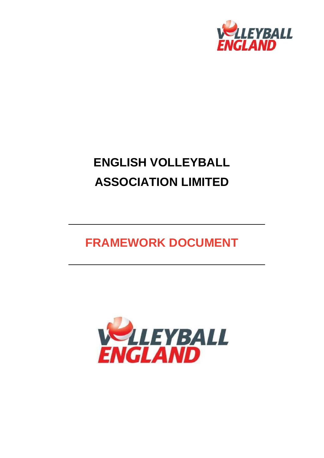

# **ENGLISH VOLLEYBALL ASSOCIATION LIMITED**

## **FRAMEWORK DOCUMENT**

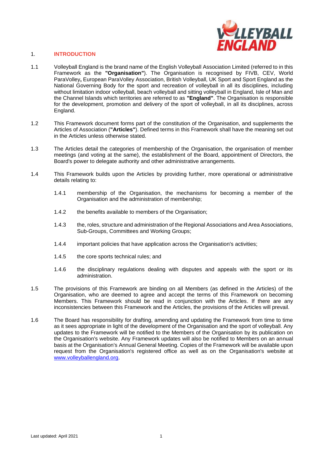

### 1. **INTRODUCTION**

- 1.1 Volleyball England is the brand name of the English Volleyball Association Limited (referred to in this Framework as the **"Organisation"**). The Organisation is recognised by FIVB, CEV, World ParaVolley**,** European ParaVolley Association, British Volleyball, UK Sport and Sport England as the National Governing Body for the sport and recreation of volleyball in all its disciplines, including without limitation indoor volleyball, beach volleyball and sitting volleyball in England, Isle of Man and the Channel Islands which territories are referred to as **"England"**. The Organisation is responsible for the development, promotion and delivery of the sport of volleyball, in all its disciplines, across England.
- 1.2 This Framework document forms part of the constitution of the Organisation, and supplements the Articles of Association (**"Articles"**). Defined terms in this Framework shall have the meaning set out in the Articles unless otherwise stated.
- 1.3 The Articles detail the categories of membership of the Organisation, the organisation of member meetings (and voting at the same), the establishment of the Board, appointment of Directors, the Board's power to delegate authority and other administrative arrangements.
- 1.4 This Framework builds upon the Articles by providing further, more operational or administrative details relating to:
	- 1.4.1 membership of the Organisation, the mechanisms for becoming a member of the Organisation and the administration of membership;
	- 1.4.2 the benefits available to members of the Organisation;
	- 1.4.3 the, roles, structure and administration of the Regional Associations and Area Associations, Sub-Groups, Committees and Working Groups;
	- 1.4.4 important policies that have application across the Organisation's activities;
	- 1.4.5 the core sports technical rules; and
	- 1.4.6 the disciplinary regulations dealing with disputes and appeals with the sport or its administration.
- 1.5 The provisions of this Framework are binding on all Members (as defined in the Articles) of the Organisation, who are deemed to agree and accept the terms of this Framework on becoming Members. This Framework should be read in conjunction with the Articles. If there are any inconsistencies between this Framework and the Articles, the provisions of the Articles will prevail.
- 1.6 The Board has responsibility for drafting, amending and updating the Framework from time to time as it sees appropriate in light of the development of the Organisation and the sport of volleyball. Any updates to the Framework will be notified to the Members of the Organisation by its publication on the Organisation's website. Any Framework updates will also be notified to Members on an annual basis at the Organisation's Annual General Meeting. Copies of the Framework will be available upon request from the Organisation's registered office as well as on the Organisation's website at [www.volleyballengland.org.](http://www.volleyballengland.org/)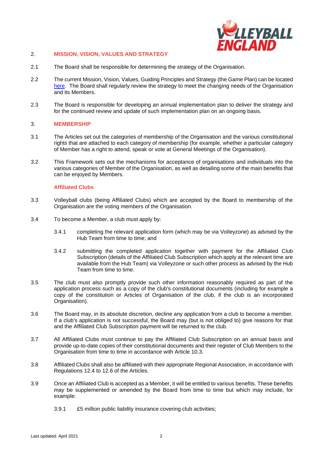

#### 2. **MISSION, VISION, VALUES AND STRATEGY**

- 2.1 The Board shall be responsible for determining the strategy of the Organisation.
- 2.2 The current Mission, Vision, Values, Guiding Principles and Strategy (the Game Plan) can be located [here.](https://www.volleyballengland.org/about_us/thegameplan) The Board shall regularly review the strategy to meet the changing needs of the Organisation and its Members.
- 2.3 The Board is responsible for developing an annual implementation plan to deliver the strategy and for the continued review and update of such implementation plan on an ongoing basis.

#### 3. **MEMBERSHIP**

- 3.1 The Articles set out the categories of membership of the Organisation and the various constitutional rights that are attached to each category of membership (for example, whether a particular category of Member has a right to attend, speak or vote at General Meetings of the Organisation).
- 3.2 This Framework sets out the mechanisms for acceptance of organisations and individuals into the various categories of Member of the Organisation, as well as detailing some of the main benefits that can be enjoyed by Members.

#### **Affiliated Clubs**

- 3.3 Volleyball clubs (being Affiliated Clubs) which are accepted by the Board to membership of the Organisation are the voting members of the Organisation.
- 3.4 To become a Member, a club must apply by:
	- 3.4.1 completing the relevant application form (which may be via Volleyzone) as advised by the Hub Team from time to time; and
	- 3.4.2 submitting the completed application together with payment for the Affiliated Club Subscription (details of the Affiliated Club Subscription which apply at the relevant time are available from the Hub Team) via Volleyzone or such other process as advised by the Hub Team from time to time.
- 3.5 The club must also promptly provide such other information reasonably required as part of the application process such as a copy of the club's constitutional documents (including for example a copy of the constitution or Articles of Organisation of the club, if the club is an incorporated Organisation).
- 3.6 The Board may, in its absolute discretion, decline any application from a club to become a member. If a club's application is not successful, the Board may (but is not obliged to) give reasons for that and the Affiliated Club Subscription payment will be returned to the club.
- 3.7 All Affiliated Clubs must continue to pay the Affiliated Club Subscription on an annual basis and provide up-to-date copies of their constitutional documents and their register of Club Members to the Organisation from time to time in accordance with Article 10.3.
- 3.8 Affiliated Clubs shall also be affiliated with their appropriate Regional Association, in accordance with Regulations 12.4 to 12.6 of the Articles.
- 3.9 Once an Affiliated Club is accepted as a Member, it will be entitled to various benefits. These benefits may be supplemented or amended by the Board from time to time but which may include, for example:
	- 3.9.1 £5 million public liability insurance covering club activities;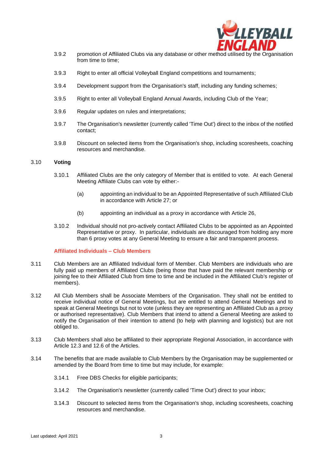

- 3.9.2 promotion of Affiliated Clubs via any database or other method utilised by the Organisation from time to time;
- 3.9.3 Right to enter all official Volleyball England competitions and tournaments;
- 3.9.4 Development support from the Organisation's staff, including any funding schemes;
- 3.9.5 Right to enter all Volleyball England Annual Awards, including Club of the Year;
- 3.9.6 Regular updates on rules and interpretations;
- 3.9.7 The Organisation's newsletter (currently called 'Time Out') direct to the inbox of the notified contact;
- 3.9.8 Discount on selected items from the Organisation's shop, including scoresheets, coaching resources and merchandise.

#### 3.10 **Voting**

- 3.10.1 Affiliated Clubs are the only category of Member that is entitled to vote. At each General Meeting Affiliate Clubs can vote by either:-
	- (a) appointing an individual to be an Appointed Representative of such Affiliated Club in accordance with Article 27; or
	- (b) appointing an individual as a proxy in accordance with Article 26,
- 3.10.2 Individual should not pro-actively contact Affiliated Clubs to be appointed as an Appointed Representative or proxy. In particular, individuals are discouraged from holding any more than 6 proxy votes at any General Meeting to ensure a fair and transparent process.

#### **Affiliated Individuals – Club Members**

- 3.11 Club Members are an Affiliated Individual form of Member. Club Members are individuals who are fully paid up members of Affiliated Clubs (being those that have paid the relevant membership or joining fee to their Affiliated Club from time to time and be included in the Affiliated Club's register of members).
- 3.12 All Club Members shall be Associate Members of the Organisation. They shall not be entitled to receive individual notice of General Meetings, but are entitled to attend General Meetings and to speak at General Meetings but not to vote (unless they are representing an Affiliated Club as a proxy or authorised representative). Club Members that intend to attend a General Meeting are asked to notify the Organisation of their intention to attend (to help with planning and logistics) but are not obliged to.
- 3.13 Club Members shall also be affiliated to their appropriate Regional Association, in accordance with Article 12.3 and 12.6 of the Articles.
- 3.14 The benefits that are made available to Club Members by the Organisation may be supplemented or amended by the Board from time to time but may include, for example:
	- 3.14.1 Free DBS Checks for eligible participants;
	- 3.14.2 The Organisation's newsletter (currently called 'Time Out') direct to your inbox;
	- 3.14.3 Discount to selected items from the Organisation's shop, including scoresheets, coaching resources and merchandise.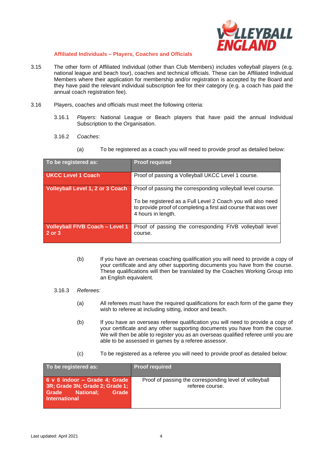

## **Affiliated Individuals – Players, Coaches and Officials**

- 3.15 The other form of Affiliated Individual (other than Club Members) includes volleyball players (e.g. national league and beach tour), coaches and technical officials. These can be Affiliated Individual Members where their application for membership and/or registration is accepted by the Board and they have paid the relevant individual subscription fee for their category (e.g. a coach has paid the annual coach registration fee).
- 3.16 Players, coaches and officials must meet the following criteria:
	- 3.16.1 *Players*: National League or Beach players that have paid the annual Individual Subscription to the Organisation.
	- 3.16.2 *Coaches*:
		- (a) To be registered as a coach you will need to provide proof as detailed below:

| To be registered as:                             | <b>Proof required</b>                                                                                                                                |
|--------------------------------------------------|------------------------------------------------------------------------------------------------------------------------------------------------------|
| <b>UKCC Level 1 Coach</b>                        | Proof of passing a Volleyball UKCC Level 1 course.                                                                                                   |
| <b>Volleyball Level 1, 2 or 3 Coach</b>          | Proof of passing the corresponding volleyball level course.                                                                                          |
|                                                  | To be registered as a Full Level 2 Coach you will also need<br>to provide proof of completing a first aid course that was over<br>4 hours in length. |
| <b>Volleyball FIVB Coach - Level 1</b><br>2 or 3 | Proof of passing the corresponding FIVB volleyball level<br>course.                                                                                  |
|                                                  |                                                                                                                                                      |

- (b) If you have an overseas coaching qualification you will need to provide a copy of your certificate and any other supporting documents you have from the course. These qualifications will then be translated by the Coaches Working Group into an English equivalent.
- 3.16.3 *Referees:*
	- (a) All referees must have the required qualifications for each form of the game they wish to referee at including sitting, indoor and beach.
	- (b) If you have an overseas referee qualification you will need to provide a copy of your certificate and any other supporting documents you have from the course. We will then be able to register you as an overseas qualified referee until you are able to be assessed in games by a referee assessor.
	- (c) To be registered as a referee you will need to provide proof as detailed below:

| To be registered as:                                                                                                 | <b>Proof required</b>                                                     |
|----------------------------------------------------------------------------------------------------------------------|---------------------------------------------------------------------------|
| 6 v 6 indoor - Grade 4; Grade<br>3R; Grade 3N; Grade 2; Grade 1;<br><b>Grade National:</b><br>Grade<br>International | Proof of passing the corresponding level of volleyball<br>referee course. |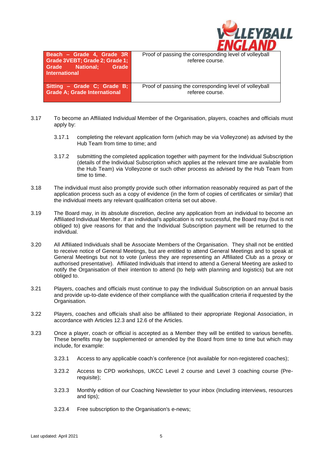| <b>ALEYBALL</b> |
|-----------------|
|                 |
|                 |

| Beach - Grade 4, Grade 3R<br>Grade 3VEBT; Grade 2; Grade 1;<br>Grade National; Grade<br><b>International</b> | Proof of passing the corresponding level of volleyball<br>referee course. |
|--------------------------------------------------------------------------------------------------------------|---------------------------------------------------------------------------|
| Sitting - Grade C; Grade B;<br><b>Grade A: Grade International</b>                                           | Proof of passing the corresponding level of volleyball<br>referee course. |

- 3.17 To become an Affiliated Individual Member of the Organisation, players, coaches and officials must apply by:
	- 3.17.1 completing the relevant application form (which may be via Volleyzone) as advised by the Hub Team from time to time; and
	- 3.17.2 submitting the completed application together with payment for the Individual Subscription (details of the Individual Subscription which applies at the relevant time are available from the Hub Team) via Volleyzone or such other process as advised by the Hub Team from time to time.
- 3.18 The individual must also promptly provide such other information reasonably required as part of the application process such as a copy of evidence (in the form of copies of certificates or similar) that the individual meets any relevant qualification criteria set out above.
- 3.19 The Board may, in its absolute discretion, decline any application from an individual to become an Affiliated Individual Member. If an individual's application is not successful, the Board may (but is not obliged to) give reasons for that and the Individual Subscription payment will be returned to the individual.
- 3.20 All Affiliated Individuals shall be Associate Members of the Organisation. They shall not be entitled to receive notice of General Meetings, but are entitled to attend General Meetings and to speak at General Meetings but not to vote (unless they are representing an Affiliated Club as a proxy or authorised presentative). Affiliated Individuals that intend to attend a General Meeting are asked to notify the Organisation of their intention to attend (to help with planning and logistics) but are not obliged to.
- 3.21 Players, coaches and officials must continue to pay the Individual Subscription on an annual basis and provide up-to-date evidence of their compliance with the qualification criteria if requested by the Organisation.
- 3.22 Players, coaches and officials shall also be affiliated to their appropriate Regional Association, in accordance with Articles 12.3 and 12.6 of the Articles.
- 3.23 Once a player, coach or official is accepted as a Member they will be entitled to various benefits. These benefits may be supplemented or amended by the Board from time to time but which may include, for example:
	- 3.23.1 Access to any applicable coach's conference (not available for non-registered coaches);
	- 3.23.2 Access to CPD workshops, UKCC Level 2 course and Level 3 coaching course (Prerequisite);
	- 3.23.3 Monthly edition of our Coaching Newsletter to your inbox (Including interviews, resources and tips);
	- 3.23.4 Free subscription to the Organisation's e-news;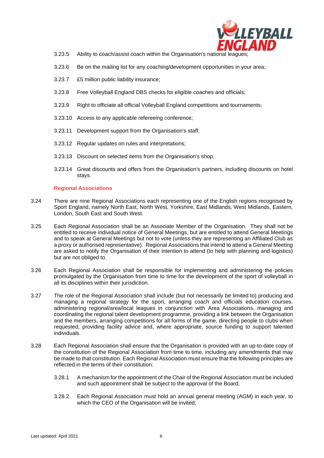

- 3.23.5 Ability to coach/assist coach within the Organisation's national leagues;
- 3.23.6 Be on the mailing list for any coaching/development opportunities in your area;
- 3.23.7 £5 million public liability insurance;
- 3.23.8 Free Volleyball England DBS checks for eligible coaches and officials;
- 3.23.9 Right to officiate all official Volleyball England competitions and tournaments;
- 3.23.10 Access to any applicable refereeing conference;
- 3.23.11 Development support from the Organisation's staff;
- 3.23.12 Regular updates on rules and interpretations;
- 3.23.13 Discount on selected items from the Organisation's shop.
- 3.23.14 Great discounts and offers from the Organisation's partners, including discounts on hotel stays.

#### **Regional Associations**

- 3.24 There are nine Regional Associations each representing one of the English regions recognised by Sport England, namely North East, North West, Yorkshire, East Midlands, West Midlands, Eastern, London, South East and South West.
- 3.25 Each Regional Association shall be an Associate Member of the Organisation. They shall not be entitled to receive individual notice of General Meetings, but are entitled to attend General Meetings and to speak at General Meetings but not to vote (unless they are representing an Affiliated Club as a proxy or authorised representative). Regional Associations that intend to attend a General Meeting are asked to notify the Organisation of their intention to attend (to help with planning and logistics) but are not obliged to.
- 3.26 Each Regional Association shall be responsible for implementing and administering the policies promulgated by the Organisation from time to time for the development of the sport of volleyball in all its disciplines within their jurisdiction.
- 3.27 The role of the Regional Association shall include (but not necessarily be limited to) producing and managing a regional strategy for the sport, arranging coach and officials education courses, administering regional/area/local leagues in conjunction with Area Associations, managing and coordinating the regional talent development programme, providing a link between the Organisation and the members, arranging competitions for all forms of the game, directing people to clubs when requested, providing facility advice and, where appropriate, source funding to support talented individuals.
- 3.28 Each Regional Association shall ensure that the Organisation is provided with an up-to-date copy of the constitution of the Regional Association from time to time, including any amendments that may be made to that constitution. Each Regional Association must ensure that the following principles are reflected in the terms of their constitution:
	- 3.28.1 A mechanism for the appointment of the Chair of the Regional Association must be included and such appointment shall be subject to the approval of the Board;
	- 3.28.2 Each Regional Association must hold an annual general meeting (AGM) in each year, to which the CEO of the Organisation will be invited;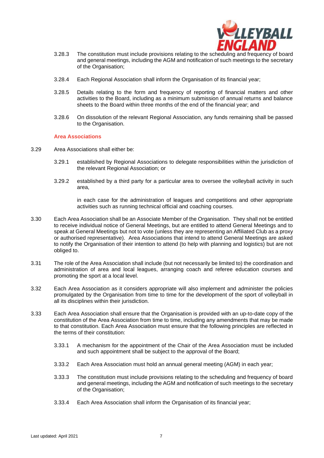

- 3.28.3 The constitution must include provisions relating to the scheduling and frequency of board and general meetings, including the AGM and notification of such meetings to the secretary of the Organisation;
- 3.28.4 Each Regional Association shall inform the Organisation of its financial year;
- 3.28.5 Details relating to the form and frequency of reporting of financial matters and other activities to the Board, including as a minimum submission of annual returns and balance sheets to the Board within three months of the end of the financial year; and
- 3.28.6 On dissolution of the relevant Regional Association, any funds remaining shall be passed to the Organisation.

#### **Area Associations**

- 3.29 Area Associations shall either be:
	- 3.29.1 established by Regional Associations to delegate responsibilities within the jurisdiction of the relevant Regional Association; or
	- 3.29.2 established by a third party for a particular area to oversee the volleyball activity in such area,

in each case for the administration of leagues and competitions and other appropriate activities such as running technical official and coaching courses.

- 3.30 Each Area Association shall be an Associate Member of the Organisation. They shall not be entitled to receive individual notice of General Meetings, but are entitled to attend General Meetings and to speak at General Meetings but not to vote (unless they are representing an Affiliated Club as a proxy or authorised representative). Area Associations that intend to attend General Meetings are asked to notify the Organisation of their intention to attend (to help with planning and logistics) but are not obliged to.
- 3.31 The role of the Area Association shall include (but not necessarily be limited to) the coordination and administration of area and local leagues, arranging coach and referee education courses and promoting the sport at a local level.
- 3.32 Each Area Association as it considers appropriate will also implement and administer the policies promulgated by the Organisation from time to time for the development of the sport of volleyball in all its disciplines within their jurisdiction.
- 3.33 Each Area Association shall ensure that the Organisation is provided with an up-to-date copy of the constitution of the Area Association from time to time, including any amendments that may be made to that constitution. Each Area Association must ensure that the following principles are reflected in the terms of their constitution:
	- 3.33.1 A mechanism for the appointment of the Chair of the Area Association must be included and such appointment shall be subject to the approval of the Board;
	- 3.33.2 Each Area Association must hold an annual general meeting (AGM) in each year;
	- 3.33.3 The constitution must include provisions relating to the scheduling and frequency of board and general meetings, including the AGM and notification of such meetings to the secretary of the Organisation;
	- 3.33.4 Each Area Association shall inform the Organisation of its financial year;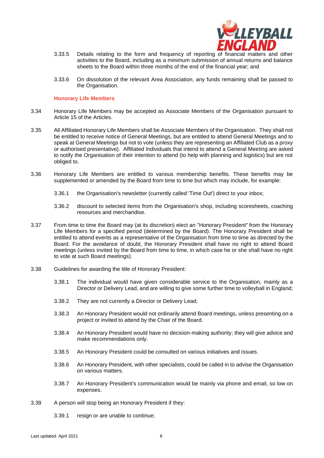

- 3.33.5 Details relating to the form and frequency of reporting of financial matters and other activities to the Board, including as a minimum submission of annual returns and balance sheets to the Board within three months of the end of the financial year; and
- 3.33.6 On dissolution of the relevant Area Association, any funds remaining shall be passed to the Organisation.

#### **Honorary Life Members**

- 3.34 Honorary Life Members may be accepted as Associate Members of the Organisation pursuant to Article 15 of the Articles.
- 3.35 All Affiliated Honorary Life Members shall be Associate Members of the Organisation. They shall not be entitled to receive notice of General Meetings, but are entitled to attend General Meetings and to speak at General Meetings but not to vote (unless they are representing an Affiliated Club as a proxy or authorised presentative). Affiliated Individuals that intend to attend a General Meeting are asked to notify the Organisation of their intention to attend (to help with planning and logistics) but are not obliged to.
- 3.36 Honorary Life Members are entitled to various membership benefits. These benefits may be supplemented or amended by the Board from time to time but which may include, for example:
	- 3.36.1 the Organisation's newsletter (currently called 'Time Out') direct to your inbox;
	- 3.36.2 discount to selected items from the Organisation's shop, including scoresheets, coaching resources and merchandise.
- 3.37 From time to time the Board may (at its discretion) elect an "Honorary President" from the Honorary Life Members for a specified period (determined by the Board). The Honorary President shall be entitled to attend events as a representative of the Organisation from time to time as directed by the Board. For the avoidance of doubt, the Honorary President shall have no right to attend Board meetings (unless invited by the Board from time to time, in which case he or she shall have no right to vote at such Board meetings).
- 3.38 Guidelines for awarding the title of Honorary President:
	- 3.38.1 The individual would have given considerable service to the Organisation, mainly as a Director or Delivery Lead, and are willing to give some further time to volleyball in England;
	- 3.38.2 They are not currently a Director or Delivery Lead;
	- 3.38.3 An Honorary President would not ordinarily attend Board meetings, unless presenting on a project or invited to attend by the Chair of the Board.
	- 3.38.4 An Honorary President would have no decision-making authority; they will give advice and make recommendations only.
	- 3.38.5 An Honorary President could be consulted on various initiatives and issues.
	- 3.38.6 An Honorary President, with other specialists, could be called in to advise the Organisation on various matters.
	- 3.38.7 An Honorary President's communication would be mainly via phone and email, so low on expenses.
- 3.39 A person will stop being an Honorary President if they:
	- 3.39.1 resign or are unable to continue;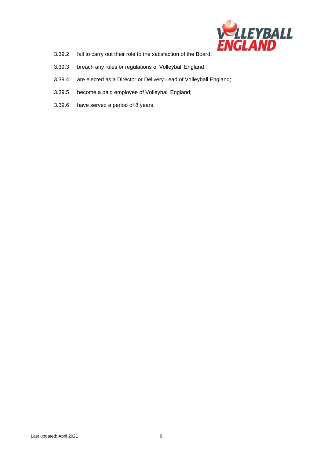

- 3.39.2 fail to carry out their role to the satisfaction of the Board;
- 3.39.3 breach any rules or regulations of Volleyball England;
- 3.39.4 are elected as a Director or Delivery Lead of Volleyball England;
- 3.39.5 become a paid employee of Volleyball England;
- 3.39.6 have served a period of 8 years.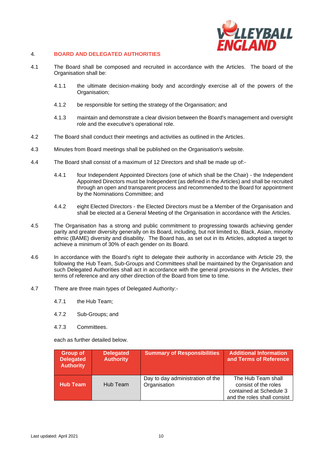

#### 4. **BOARD AND DELEGATED AUTHORITIES**

- 4.1 The Board shall be composed and recruited in accordance with the Articles. The board of the Organisation shall be:
	- 4.1.1 the ultimate decision-making body and accordingly exercise all of the powers of the Organisation;
	- 4.1.2 be responsible for setting the strategy of the Organisation; and
	- 4.1.3 maintain and demonstrate a clear division between the Board's management and oversight role and the executive's operational role.
- 4.2 The Board shall conduct their meetings and activities as outlined in the Articles.
- 4.3 Minutes from Board meetings shall be published on the Organisation's website.
- 4.4 The Board shall consist of a maximum of 12 Directors and shall be made up of:-
	- 4.4.1 four Independent Appointed Directors (one of which shall be the Chair) the Independent Appointed Directors must be Independent (as defined in the Articles) and shall be recruited through an open and transparent process and recommended to the Board for appointment by the Nominations Committee; and
	- 4.4.2 eight Elected Directors the Elected Directors must be a Member of the Organisation and shall be elected at a General Meeting of the Organisation in accordance with the Articles.
- 4.5 The Organisation has a strong and public commitment to progressing towards achieving gender parity and greater diversity generally on its Board, including, but not limited to, Black, Asian, minority ethnic (BAME) diversity and disability. The Board has, as set out in its Articles, adopted a target to achieve a minimum of 30% of each gender on its Board.
- 4.6 In accordance with the Board's right to delegate their authority in accordance with Article 29, the following the Hub Team, Sub-Groups and Committees shall be maintained by the Organisation and such Delegated Authorities shall act in accordance with the general provisions in the Articles, their terms of reference and any other direction of the Board from time to time.
- 4.7 There are three main types of Delegated Authority:-
	- 4.7.1 the Hub Team;
	- 4.7.2 Sub-Groups; and
	- 4.7.3 Committees.

each as further detailed below.

| Group of<br><b>Delegated</b><br><b>Authority</b> | <b>Delegated</b><br><b>Authority</b> | <b>Summary of Responsibilities</b>               | <b>Additional Information</b><br>and Terms of Reference                                              |
|--------------------------------------------------|--------------------------------------|--------------------------------------------------|------------------------------------------------------------------------------------------------------|
| <b>Hub Team</b>                                  | Hub Team                             | Day to day administration of the<br>Organisation | The Hub Team shall<br>consist of the roles<br>contained at Schedule 3<br>and the roles shall consist |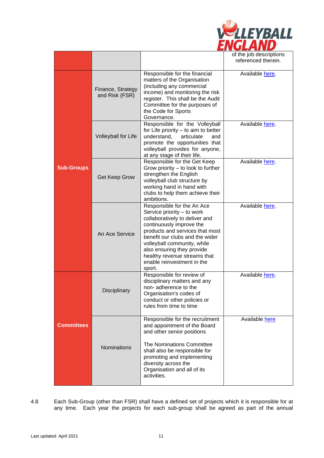

|                   |                                     |                                                                                                                                                                                                                                                                                                                                   | of the job descriptions<br>referenced therein. |
|-------------------|-------------------------------------|-----------------------------------------------------------------------------------------------------------------------------------------------------------------------------------------------------------------------------------------------------------------------------------------------------------------------------------|------------------------------------------------|
| <b>Sub-Groups</b> | Finance, Strategy<br>and Risk (FSR) | Responsible for the financial<br>matters of the Organisation<br>(including any commercial<br>income) and monitoring the risk<br>register. This shall be the Audit<br>Committee for the purposes of<br>the Code for Sports<br>Governance.                                                                                          | Available here.                                |
|                   | Volleyball for Life                 | Responsible for the Volleyball<br>for Life priority - to aim to better<br>understand,<br>articulate<br>and<br>promote the opportunities that<br>volleyball provides for anyone,<br>at any stage of their life.                                                                                                                    | Available here.                                |
|                   | Get Keep Grow                       | Responsible for the Get Keep<br>Grow priority – to look to further<br>strengthen the English<br>volleyball club structure by<br>working hand in hand with<br>clubs to help them achieve their<br>ambitions.                                                                                                                       | Available here.                                |
|                   | An Ace Service                      | Responsible for the An Ace<br>Service priority - to work<br>collaboratively to deliver and<br>continuously improve the<br>products and services that most<br>benefit our clubs and the wider<br>volleyball community, while<br>also ensuring they provide<br>healthy revenue streams that<br>enable reinvestment in the<br>sport. | Available here                                 |
| <b>Committees</b> | Disciplinary                        | Responsible for review of<br>disciplinary matters and any<br>non-adherence to the<br>Organisation's codes of<br>conduct or other policies or<br>rules from time to time                                                                                                                                                           | Available here.                                |
|                   | <b>Nominations</b>                  | Responsible for the recruitment<br>and appointment of the Board<br>and other senior positions<br>The Nominations Committee<br>shall also be responsible for<br>promoting and implementing<br>diversity across the<br>Organisation and all of its<br>activities.                                                                   | Available here                                 |

## 4.8 Each Sub-Group (other than FSR) shall have a defined set of projects which it is responsible for at any time. Each year the projects for each sub-group shall be agreed as part of the annual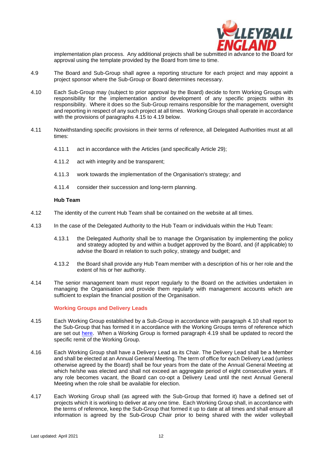

implementation plan process. Any additional projects shall be submitted in advance to the Board for approval using the template provided by the Board from time to time.

- 4.9 The Board and Sub-Group shall agree a reporting structure for each project and may appoint a project sponsor where the Sub-Group or Board determines necessary.
- <span id="page-12-1"></span>4.10 Each Sub-Group may (subject to prior approval by the Board) decide to form Working Groups with responsibility for the implementation and/or development of any specific projects within its responsibility. Where it does so the Sub-Group remains responsible for the management, oversight and reporting in respect of any such project at all times. Working Groups shall operate in accordance with the provisions of paragraphs [4.15](#page-12-0) to [4.19](#page-13-0) below.
- 4.11 Notwithstanding specific provisions in their terms of reference, all Delegated Authorities must at all times:
	- 4.11.1 act in accordance with the Articles (and specifically Article 29);
	- 4.11.2 act with integrity and be transparent;
	- 4.11.3 work towards the implementation of the Organisation's strategy; and
	- 4.11.4 consider their succession and long-term planning.

#### **Hub Team**

- 4.12 The identity of the current Hub Team shall be contained on the website at all times.
- 4.13 In the case of the Delegated Authority to the Hub Team or individuals within the Hub Team:
	- 4.13.1 the Delegated Authority shall be to manage the Organisation by implementing the policy and strategy adopted by and within a budget approved by the Board, and (if applicable) to advise the Board in relation to such policy, strategy and budget; and
	- 4.13.2 the Board shall provide any Hub Team member with a description of his or her role and the extent of his or her authority.
- 4.14 The senior management team must report regularly to the Board on the activities undertaken in managing the Organisation and provide them regularly with management accounts which are sufficient to explain the financial position of the Organisation.

#### **Working Groups and Delivery Leads**

- <span id="page-12-0"></span>4.15 Each Working Group established by a Sub-Group in accordance with paragraph [4.10](#page-12-1) shall report to the Sub-Group that has formed it in accordance with the Working Groups terms of reference which are set out [here.](https://www.volleyballengland.org/about_us/about_us_/governance) When a Working Group is formed paragraph [4.19](#page-13-0) shall be updated to record the specific remit of the Working Group.
- 4.16 Each Working Group shall have a Delivery Lead as its Chair. The Delivery Lead shall be a Member and shall be elected at an Annual General Meeting. The term of office for each Delivery Lead (unless otherwise agreed by the Board) shall be four years from the date of the Annual General Meeting at which he/she was elected and shall not exceed an aggregate period of eight consecutive years. If any role becomes vacant, the Board can co-opt a Delivery Lead until the next Annual General Meeting when the role shall be available for election.
- 4.17 Each Working Group shall (as agreed with the Sub-Group that formed it) have a defined set of projects which it is working to deliver at any one time. Each Working Group shall, in accordance with the terms of reference, keep the Sub-Group that formed it up to date at all times and shall ensure all information is agreed by the Sub-Group Chair prior to being shared with the wider volleyball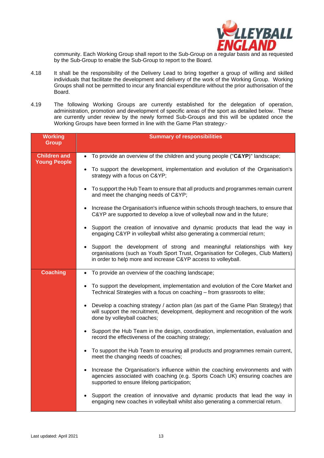

community. Each Working Group shall report to the Sub-Group on a regular basis and as requested by the Sub-Group to enable the Sub-Group to report to the Board.

- 4.18 It shall be the responsibility of the Delivery Lead to bring together a group of willing and skilled individuals that facilitate the development and delivery of the work of the Working Group. Working Groups shall not be permitted to incur any financial expenditure without the prior authorisation of the Board.
- <span id="page-13-0"></span>4.19 The following Working Groups are currently established for the delegation of operation, administration, promotion and development of specific areas of the sport as detailed below. These are currently under review by the newly formed Sub-Groups and this will be updated once the Working Groups have been formed in line with the Game Plan strategy:-

| <b>Working</b><br><b>Group</b> | <b>Summary of responsibilities</b>                                                                                                                                                                                               |
|--------------------------------|----------------------------------------------------------------------------------------------------------------------------------------------------------------------------------------------------------------------------------|
| <b>Children and</b>            | To provide an overview of the children and young people ("C&YP)" landscape;<br>$\bullet$                                                                                                                                         |
| <b>Young People</b>            | • To support the development, implementation and evolution of the Organisation's<br>strategy with a focus on C&YP                                                                                                                |
|                                | To support the Hub Team to ensure that all products and programmes remain current<br>and meet the changing needs of C&YP                                                                                                         |
|                                | • Increase the Organisation's influence within schools through teachers, to ensure that<br>C&YP are supported to develop a love of volleyball now and in the future;                                                             |
|                                | Support the creation of innovative and dynamic products that lead the way in<br>$\bullet$<br>engaging C&YP in volleyball whilst also generating a commercial return;                                                             |
|                                | • Support the development of strong and meaningful relationships with key<br>organisations (such as Youth Sport Trust, Organisation for Colleges, Club Matters)<br>in order to help more and increase C&YP access to volleyball. |
| <b>Coaching</b>                | • To provide an overview of the coaching landscape;                                                                                                                                                                              |
|                                | To support the development, implementation and evolution of the Core Market and<br>$\bullet$<br>Technical Strategies with a focus on coaching - from grassroots to elite;                                                        |
|                                | • Develop a coaching strategy / action plan (as part of the Game Plan Strategy) that<br>will support the recruitment, development, deployment and recognition of the work<br>done by volleyball coaches;                         |
|                                | Support the Hub Team in the design, coordination, implementation, evaluation and<br>$\bullet$<br>record the effectiveness of the coaching strategy;                                                                              |
|                                | • To support the Hub Team to ensuring all products and programmes remain current,<br>meet the changing needs of coaches;                                                                                                         |
|                                | Increase the Organisation's influence within the coaching environments and with<br>$\bullet$<br>agencies associated with coaching (e.g. Sports Coach UK) ensuring coaches are<br>supported to ensure lifelong participation;     |
|                                | Support the creation of innovative and dynamic products that lead the way in<br>$\bullet$<br>engaging new coaches in volleyball whilst also generating a commercial return.                                                      |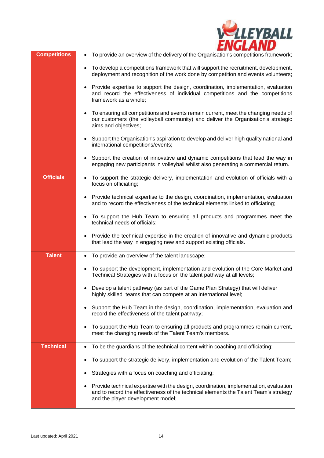

| <b>Competitions</b> | To provide an overview of the delivery of the Organisation's competitions framework;<br>$\bullet$                                                                                                                  |
|---------------------|--------------------------------------------------------------------------------------------------------------------------------------------------------------------------------------------------------------------|
|                     | To develop a competitions framework that will support the recruitment, development,<br>deployment and recognition of the work done by competition and events volunteers;                                           |
|                     | Provide expertise to support the design, coordination, implementation, evaluation<br>and record the effectiveness of individual competitions and the competitions<br>framework as a whole;                         |
|                     | To ensuring all competitions and events remain current, meet the changing needs of<br>our customers (the volleyball community) and deliver the Organisation's strategic<br>aims and objectives;                    |
|                     | Support the Organisation's aspiration to develop and deliver high quality national and<br>international competitions/events;                                                                                       |
|                     | Support the creation of innovative and dynamic competitions that lead the way in<br>engaging new participants in volleyball whilst also generating a commercial return.                                            |
| <b>Officials</b>    | To support the strategic delivery, implementation and evolution of officials with a<br>focus on officiating;                                                                                                       |
|                     | Provide technical expertise to the design, coordination, implementation, evaluation<br>and to record the effectiveness of the technical elements linked to officiating;                                            |
|                     | To support the Hub Team to ensuring all products and programmes meet the<br>technical needs of officials;                                                                                                          |
|                     | Provide the technical expertise in the creation of innovative and dynamic products<br>that lead the way in engaging new and support existing officials.                                                            |
| <b>Talent</b>       | To provide an overview of the talent landscape;<br>$\bullet$                                                                                                                                                       |
|                     | To support the development, implementation and evolution of the Core Market and<br>Technical Strategies with a focus on the talent pathway at all levels;                                                          |
|                     | Develop a talent pathway (as part of the Game Plan Strategy) that will deliver<br>highly skilled teams that can compete at an international level;                                                                 |
|                     | Support the Hub Team in the design, coordination, implementation, evaluation and<br>record the effectiveness of the talent pathway;                                                                                |
|                     | To support the Hub Team to ensuring all products and programmes remain current,<br>meet the changing needs of the Talent Team's members.                                                                           |
| <b>Technical</b>    | To be the guardians of the technical content within coaching and officiating;                                                                                                                                      |
|                     | To support the strategic delivery, implementation and evolution of the Talent Team;                                                                                                                                |
|                     | Strategies with a focus on coaching and officiating;                                                                                                                                                               |
|                     | Provide technical expertise with the design, coordination, implementation, evaluation<br>and to record the effectiveness of the technical elements the Talent Team's strategy<br>and the player development model; |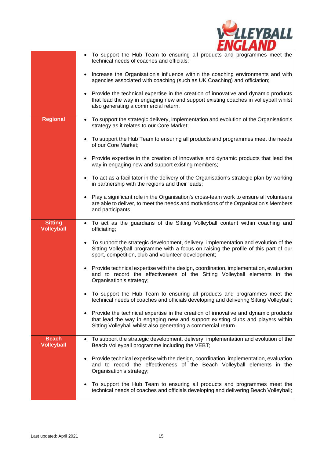

|                                     | To support the Hub Team to ensuring all products and programmes meet the<br>technical needs of coaches and officials;                                                                                                                   |
|-------------------------------------|-----------------------------------------------------------------------------------------------------------------------------------------------------------------------------------------------------------------------------------------|
|                                     | Increase the Organisation's influence within the coaching environments and with<br>agencies associated with coaching (such as UK Coaching) and officiation;                                                                             |
|                                     | Provide the technical expertise in the creation of innovative and dynamic products<br>that lead the way in engaging new and support existing coaches in volleyball whilst<br>also generating a commercial return.                       |
| <b>Regional</b>                     | To support the strategic delivery, implementation and evolution of the Organisation's<br>strategy as it relates to our Core Market;                                                                                                     |
|                                     | To support the Hub Team to ensuring all products and programmes meet the needs<br>of our Core Market;                                                                                                                                   |
|                                     | Provide expertise in the creation of innovative and dynamic products that lead the<br>way in engaging new and support existing members;                                                                                                 |
|                                     | To act as a facilitator in the delivery of the Organisation's strategic plan by working<br>in partnership with the regions and their leads;                                                                                             |
|                                     | Play a significant role in the Organisation's cross-team work to ensure all volunteers<br>are able to deliver, to meet the needs and motivations of the Organisation's Members<br>and participants.                                     |
| <b>Sitting</b><br><b>Volleyball</b> | To act as the guardians of the Sitting Volleyball content within coaching and<br>officiating;                                                                                                                                           |
|                                     | To support the strategic development, delivery, implementation and evolution of the<br>Sitting Volleyball programme with a focus on raising the profile of this part of our<br>sport, competition, club and volunteer development;      |
|                                     | Provide technical expertise with the design, coordination, implementation, evaluation<br>and to record the effectiveness of the Sitting Volleyball elements in the<br>Organisation's strategy;                                          |
|                                     | To support the Hub Team to ensuring all products and programmes meet the<br>technical needs of coaches and officials developing and delivering Sitting Volleyball;                                                                      |
|                                     | Provide the technical expertise in the creation of innovative and dynamic products<br>that lead the way in engaging new and support existing clubs and players within<br>Sitting Volleyball whilst also generating a commercial return. |
| <b>Beach</b><br><b>Volleyball</b>   | To support the strategic development, delivery, implementation and evolution of the<br>Beach Volleyball programme including the VEBT;                                                                                                   |
|                                     | Provide technical expertise with the design, coordination, implementation, evaluation<br>$\bullet$<br>and to record the effectiveness of the Beach Volleyball elements in the<br>Organisation's strategy;                               |
|                                     | To support the Hub Team to ensuring all products and programmes meet the<br>technical needs of coaches and officials developing and delivering Beach Volleyball;                                                                        |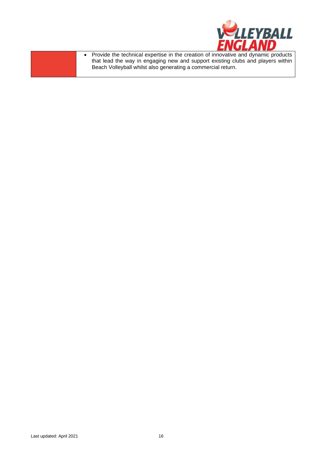

• Provide the technical expertise in the creation of innovative and dynamic products that lead the way in engaging new and support existing clubs and players within Beach Volleyball whilst also generating a commercial return.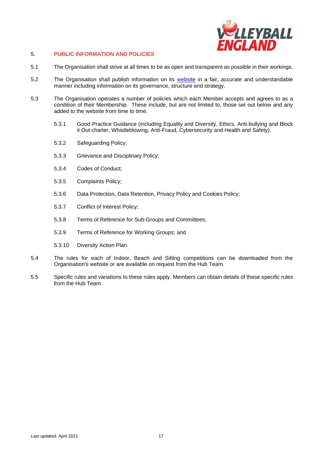

## 5. **PUBLIC INFORMATION AND POLICIES**

- 5.1 The Organisation shall strive at all times to be as open and transparent as possible in their workings.
- 5.2 The Organisation shall publish information on its [website](http://www.volleyballengland.org/about_us/about_us_/governance) in a fair, accurate and understandable manner including information on its governance, structure and strategy.
- 5.3 The Organisation operates a number of policies which each Member accepts and agrees to as a condition of their Membership. These include, but are not limited to, those set out below and any added to the website from time to time.
	- 5.3.1 Good Practice Guidance (including Equality and Diversity, Ethics, Anti-bullying and Block it Out charter, Whistleblowing, Anti-Fraud, Cybersecurity and Health and Safety).
	- 5.3.2 Safeguarding Policy;
	- 5.3.3 Grievance and Disciplinary Policy;
	- 5.3.4 Codes of Conduct;
	- 5.3.5 Complaints Policy;
	- 5.3.6 Data Protection, Data Retention, Privacy Policy and Cookies Policy;
	- 5.3.7 Conflict of Interest Policy;
	- 5.3.8 Terms of Reference for Sub-Groups and Committees;
	- 5.3.9 Terms of Reference for Working Groups; and
	- 5.3.10 Diversity Action Plan.
- 5.4 The rules for each of Indoor, Beach and Sitting competitions can be downloaded from the Organisation's website or are available on request from the Hub Team.
- 5.5 Specific rules and variations to these rules apply. Members can obtain details of these specific rules from the Hub Team.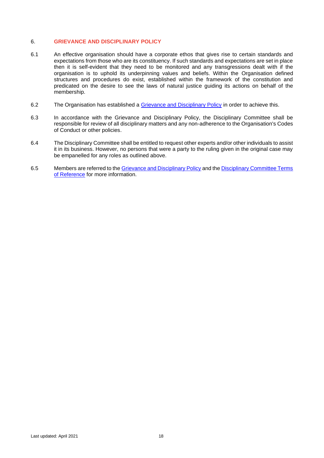#### 6. **GRIEVANCE AND DISCIPLINARY POLICY**

- 6.1 An effective organisation should have a corporate ethos that gives rise to certain standards and expectations from those who are its constituency. If such standards and expectations are set in place then it is self-evident that they need to be monitored and any transgressions dealt with if the organisation is to uphold its underpinning values and beliefs. Within the Organisation defined structures and procedures do exist, established within the framework of the constitution and predicated on the desire to see the laws of natural justice guiding its actions on behalf of the membership.
- 6.2 The Organisation has established a [Grievance and Disciplinary Policy](https://www.volleyballengland.org/about_us/about_us_/governance) in order to achieve this.
- 6.3 In accordance with the Grievance and Disciplinary Policy, the Disciplinary Committee shall be responsible for review of all disciplinary matters and any non-adherence to the Organisation's Codes of Conduct or other policies.
- 6.4 The Disciplinary Committee shall be entitled to request other experts and/or other individuals to assist it in its business. However, no persons that were a party to the ruling given in the original case may be empanelled for any roles as outlined above.
- 6.5 Members are referred to th[e Grievance and Disciplinary Policy](https://www.volleyballengland.org/about_us/about_us_/governance) and th[e Disciplinary Committee Terms](https://www.volleyballengland.org/about_us/about_us_/governance)  [of Reference](https://www.volleyballengland.org/about_us/about_us_/governance) for more information.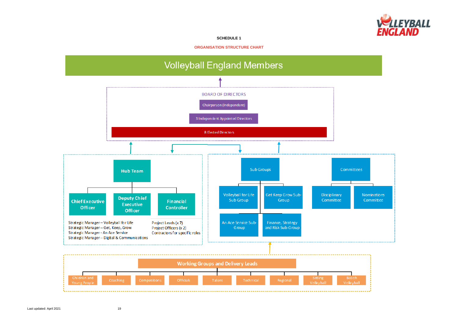## **SCHEDULE 1**

**ORGANISATION STRUCTURE CHART**



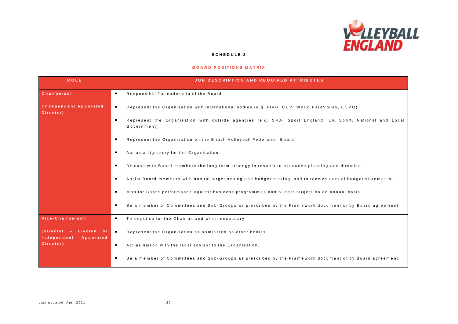

#### **S C H E D U L E 2**

#### **BOARD POSITIONS MATRIX**

| <b>ROLE</b>                                                     | <b>JOB DESCRIPTION AND REQUIRED ATTRIBUTES</b>                                                                           |
|-----------------------------------------------------------------|--------------------------------------------------------------------------------------------------------------------------|
| <b>Chairperson</b>                                              | Responsible for leadership of the Board<br>$\bullet$                                                                     |
| (Independent Appointed<br>Director)                             | Represent the Organisation with international bodies (e.g. FIVB, CEV, World ParaVolley, ECVD)<br>$\bullet$               |
|                                                                 | Represent the Organisation with outside agencies (e.g. SRA, Sport England, UK Sport, National and Local<br>Government)   |
|                                                                 | Represent the Organisation on the British Volleyball Federation Board.<br>$\bullet$                                      |
|                                                                 | Act as a signatory for the Organisation.                                                                                 |
|                                                                 | Discuss with Board members the long term strategy in respect to executive planning and direction.                        |
|                                                                 | Assist Board members with annual target setting and budget making, and to receive annual budget statements.<br>$\bullet$ |
|                                                                 | Monitor Board performance against business programmes and budget targets on an annual basis.                             |
|                                                                 | Be a member of Committees and Sub-Groups as prescribed by the Framework document or by Board agreement.                  |
| Vice-Chairperson                                                | To deputise for the Chair as and when necessary.<br>$\bullet$                                                            |
| (Director - Elected or<br>Independent<br>Appointed<br>Director) | Represent the Organisation as nominated on other bodies.                                                                 |
|                                                                 | Act as liaison with the legal advisor to the Organisation.<br>$\bullet$                                                  |
|                                                                 | Be a member of Committees and Sub-Groups as prescribed by the Framework document or by Board agreement.                  |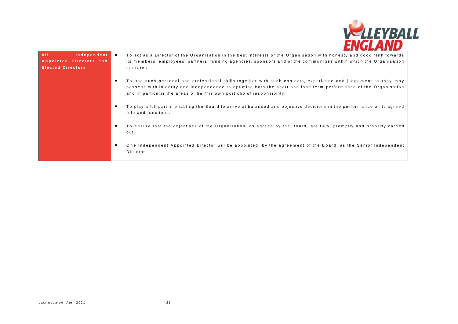

| A <sub>II</sub><br>Independent<br>Appointed Directors and<br><b>Elected Directors</b> | To act as a Director of the Organisation in the best interests of the Organisation with honesty and good faith towards<br>its members, employees, partners, funding agencies, sponsors and of the communities within which the Organisation<br>operates.                                                      |
|---------------------------------------------------------------------------------------|---------------------------------------------------------------------------------------------------------------------------------------------------------------------------------------------------------------------------------------------------------------------------------------------------------------|
|                                                                                       | To use such personal and professional skills together with such contacts, experience and judgement as they may<br>possess with integrity and independence to optimise both the short and long term performance of the Organisation<br>and in particular the areas of her/his own portfolio of responsibility. |
|                                                                                       | To play a full part in enabling the Board to arrive at balanced and objective decisions in the performance of its agreed<br>role and functions.                                                                                                                                                               |
|                                                                                       | To ensure that the objectives of the Organisation, as agreed by the Board, are fully, promptly and properly carried<br>out.                                                                                                                                                                                   |
|                                                                                       | One Independent Appointed Director will be appointed, by the agreement of the Board, as the Senior Independent<br>Director.                                                                                                                                                                                   |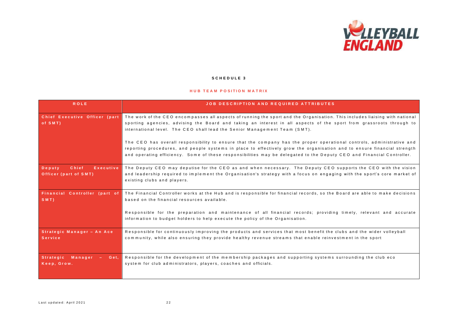

#### **S C H E D U L E 3**

#### **HUB TEAM POSITION MATRIX**

| <b>ROLE</b>                                           | <b>JOB DESCRIPTION AND REQUIRED ATTRIBUTES</b>                                                                                                                                                                                                                                                                                                                                                                                                                                                                                                                                                                                                                                                               |
|-------------------------------------------------------|--------------------------------------------------------------------------------------------------------------------------------------------------------------------------------------------------------------------------------------------------------------------------------------------------------------------------------------------------------------------------------------------------------------------------------------------------------------------------------------------------------------------------------------------------------------------------------------------------------------------------------------------------------------------------------------------------------------|
| Chief Executive Officer (part<br>of SMT)              | The work of the CEO encompasses all aspects of running the sport and the Organisation. This includes liaising with national<br>sporting agencies, advising the Board and taking an interest in all aspects of the sport from grassroots through to<br>international level. The CEO shall lead the Senior Management Team (SMT).<br>The CEO has overall responsibility to ensure that the company has the proper operational controls, administrative and<br>reporting procedures, and people systems in place to effectively grow the organisation and to ensure financial strength<br>and operating efficiency. Some of these responsibilities may be delegated to the Deputy CEO and Financial Controller. |
| Chief<br>Deputy<br>Executive<br>Officer (part of SMT) | The Deputy CEO may deputise for the CEO as and when necessary. The Deputy CEO supports the CEO with the vision<br>and leadership required to implement the Organisation's strategy with a focus on engaging with the sport's core market of<br>existing clubs and players.                                                                                                                                                                                                                                                                                                                                                                                                                                   |
| Financial Controller (part of<br>SMT                  | The Financial Controller works at the Hub and is responsible for financial records, so the Board are able to make decisions<br>based on the financial resources available.<br>Responsible for the preparation and maintenance of all financial records; providing timely, relevant and accurate<br>information to budget holders to help execute the policy of the Organisation.                                                                                                                                                                                                                                                                                                                             |
| Strategic Manager - An Ace<br><b>Service</b>          | Responsible for continuously improving the products and services that most benefit the clubs and the wider volleyball<br>community, while also ensuring they provide healthy revenue streams that enable reinvestment in the sport                                                                                                                                                                                                                                                                                                                                                                                                                                                                           |
| Strategic Manager -<br>Get.<br>Keep, Grow.            | Responsible for the development of the membership packages and supporting systems surrounding the club eco<br>system for club administrators, players, coaches and officials.                                                                                                                                                                                                                                                                                                                                                                                                                                                                                                                                |